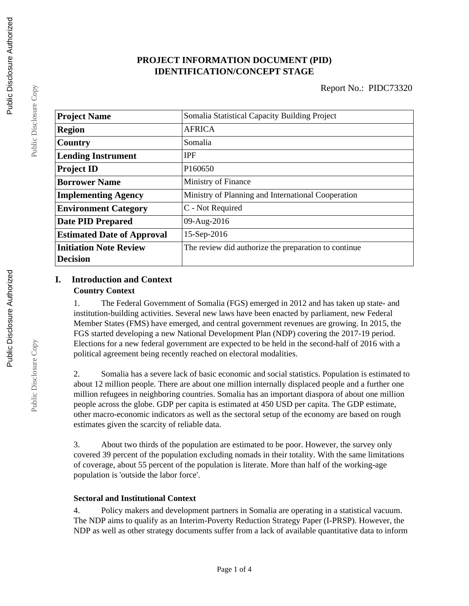# **PROJECT INFORMATION DOCUMENT (PID) IDENTIFICATION/CONCEPT STAGE**

| <b>Project Name</b>               | Somalia Statistical Capacity Building Project        |
|-----------------------------------|------------------------------------------------------|
| <b>Region</b>                     | <b>AFRICA</b>                                        |
| Country                           | Somalia                                              |
| <b>Lending Instrument</b>         | <b>IPF</b>                                           |
| <b>Project ID</b>                 | P <sub>160650</sub>                                  |
| <b>Borrower Name</b>              | Ministry of Finance                                  |
| <b>Implementing Agency</b>        | Ministry of Planning and International Cooperation   |
| <b>Environment Category</b>       | C - Not Required                                     |
| <b>Date PID Prepared</b>          | 09-Aug-2016                                          |
| <b>Estimated Date of Approval</b> | 15-Sep-2016                                          |
| <b>Initiation Note Review</b>     | The review did authorize the preparation to continue |
| <b>Decision</b>                   |                                                      |

# **I. Introduction and Context Country Context**

1. The Federal Government of Somalia (FGS) emerged in 2012 and has taken up state- and institution-building activities. Several new laws have been enacted by parliament, new Federal Member States (FMS) have emerged, and central government revenues are growing. In 2015, the FGS started developing a new National Development Plan (NDP) covering the 2017-19 period. Elections for a new federal government are expected to be held in the second-half of 2016 with a political agreement being recently reached on electoral modalities.

2. Somalia has a severe lack of basic economic and social statistics. Population is estimated to about 12 million people. There are about one million internally displaced people and a further one million refugees in neighboring countries. Somalia has an important diaspora of about one million people across the globe. GDP per capita is estimated at 450 USD per capita. The GDP estimate, other macro-economic indicators as well as the sectoral setup of the economy are based on rough estimates given the scarcity of reliable data.

3. About two thirds of the population are estimated to be poor. However, the survey only covered 39 percent of the population excluding nomads in their totality. With the same limitations of coverage, about 55 percent of the population is literate. More than half of the working-age population is 'outside the labor force'.

# **Sectoral and Institutional Context**

4. Policy makers and development partners in Somalia are operating in a statistical vacuum. The NDP aims to qualify as an Interim-Poverty Reduction Strategy Paper (I-PRSP). However, the NDP as well as other strategy documents suffer from a lack of available quantitative data to inform

Public Disclosure Copy

Public Disclosure Copy

Public Disclosure Copy

Public Disclosure Copy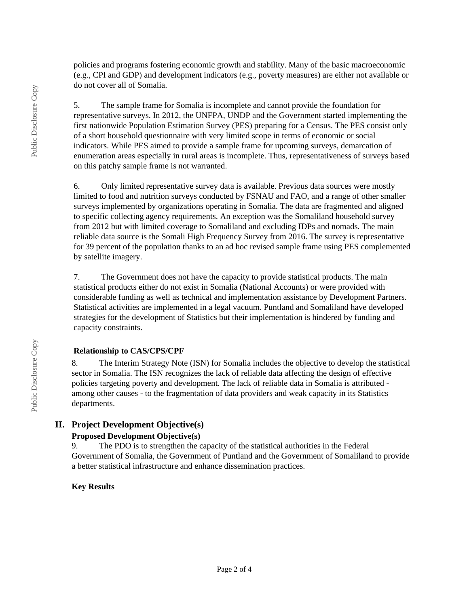policies and programs fostering economic growth and stability. Many of the basic macroeconomic (e.g., CPI and GDP) and development indicators (e.g., poverty measures) are either not available or do not cover all of Somalia.

5. The sample frame for Somalia is incomplete and cannot provide the foundation for representative surveys. In 2012, the UNFPA, UNDP and the Government started implementing the first nationwide Population Estimation Survey (PES) preparing for a Census. The PES consist only of a short household questionnaire with very limited scope in terms of economic or social indicators. While PES aimed to provide a sample frame for upcoming surveys, demarcation of enumeration areas especially in rural areas is incomplete. Thus, representativeness of surveys based on this patchy sample frame is not warranted.

6. Only limited representative survey data is available. Previous data sources were mostly limited to food and nutrition surveys conducted by FSNAU and FAO, and a range of other smaller surveys implemented by organizations operating in Somalia. The data are fragmented and aligned to specific collecting agency requirements. An exception was the Somaliland household survey from 2012 but with limited coverage to Somaliland and excluding IDPs and nomads. The main reliable data source is the Somali High Frequency Survey from 2016. The survey is representative for 39 percent of the population thanks to an ad hoc revised sample frame using PES complemented by satellite imagery.

7. The Government does not have the capacity to provide statistical products. The main statistical products either do not exist in Somalia (National Accounts) or were provided with considerable funding as well as technical and implementation assistance by Development Partners. Statistical activities are implemented in a legal vacuum. Puntland and Somaliland have developed strategies for the development of Statistics but their implementation is hindered by funding and capacity constraints.

#### **Relationship to CAS/CPS/CPF**

8. The Interim Strategy Note (ISN) for Somalia includes the objective to develop the statistical sector in Somalia. The ISN recognizes the lack of reliable data affecting the design of effective policies targeting poverty and development. The lack of reliable data in Somalia is attributed among other causes - to the fragmentation of data providers and weak capacity in its Statistics departments.

# **II. Project Development Objective(s)**

# **Proposed Development Objective(s)**

9. The PDO is to strengthen the capacity of the statistical authorities in the Federal Government of Somalia, the Government of Puntland and the Government of Somaliland to provide a better statistical infrastructure and enhance dissemination practices.

# **Key Results**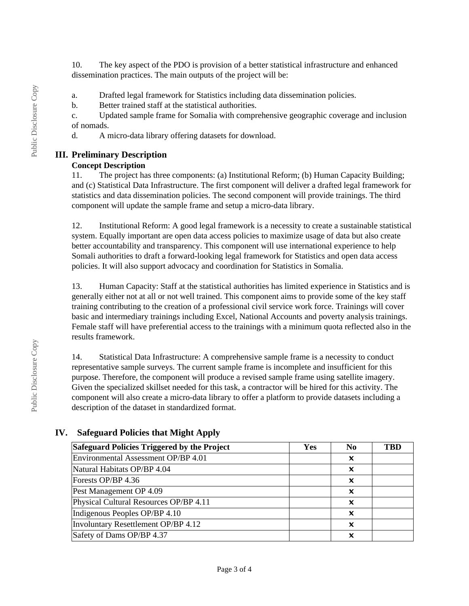10. The key aspect of the PDO is provision of a better statistical infrastructure and enhanced dissemination practices. The main outputs of the project will be:

a. Drafted legal framework for Statistics including data dissemination policies.

b. Better trained staff at the statistical authorities.

c. Updated sample frame for Somalia with comprehensive geographic coverage and inclusion of nomads.

d. A micro-data library offering datasets for download.

# **III. Preliminary Description**

# **Concept Description**

11. The project has three components: (a) Institutional Reform; (b) Human Capacity Building; and (c) Statistical Data Infrastructure. The first component will deliver a drafted legal framework for statistics and data dissemination policies. The second component will provide trainings. The third component will update the sample frame and setup a micro-data library.

12. Institutional Reform: A good legal framework is a necessity to create a sustainable statistical system. Equally important are open data access policies to maximize usage of data but also create better accountability and transparency. This component will use international experience to help Somali authorities to draft a forward-looking legal framework for Statistics and open data access policies. It will also support advocacy and coordination for Statistics in Somalia.

13. Human Capacity: Staff at the statistical authorities has limited experience in Statistics and is generally either not at all or not well trained. This component aims to provide some of the key staff training contributing to the creation of a professional civil service work force. Trainings will cover basic and intermediary trainings including Excel, National Accounts and poverty analysis trainings. Female staff will have preferential access to the trainings with a minimum quota reflected also in the results framework.

14. Statistical Data Infrastructure: A comprehensive sample frame is a necessity to conduct representative sample surveys. The current sample frame is incomplete and insufficient for this purpose. Therefore, the component will produce a revised sample frame using satellite imagery. Given the specialized skillset needed for this task, a contractor will be hired for this activity. The component will also create a micro-data library to offer a platform to provide datasets including a description of the dataset in standardized format.

| Safeguard Policies Triggered by the Project | Yes | N <sub>0</sub> | TBD |
|---------------------------------------------|-----|----------------|-----|
| Environmental Assessment OP/BP 4.01         |     | x              |     |
| Natural Habitats OP/BP 4.04                 |     | x              |     |
| Forests OP/BP 4.36                          |     | x              |     |
| Pest Management OP 4.09                     |     | x              |     |
| Physical Cultural Resources OP/BP 4.11      |     | x              |     |
| Indigenous Peoples OP/BP 4.10               |     | x              |     |
| Involuntary Resettlement OP/BP 4.12         |     | x              |     |
| Safety of Dams OP/BP 4.37                   |     | x              |     |

# **IV. Safeguard Policies that Might Apply**